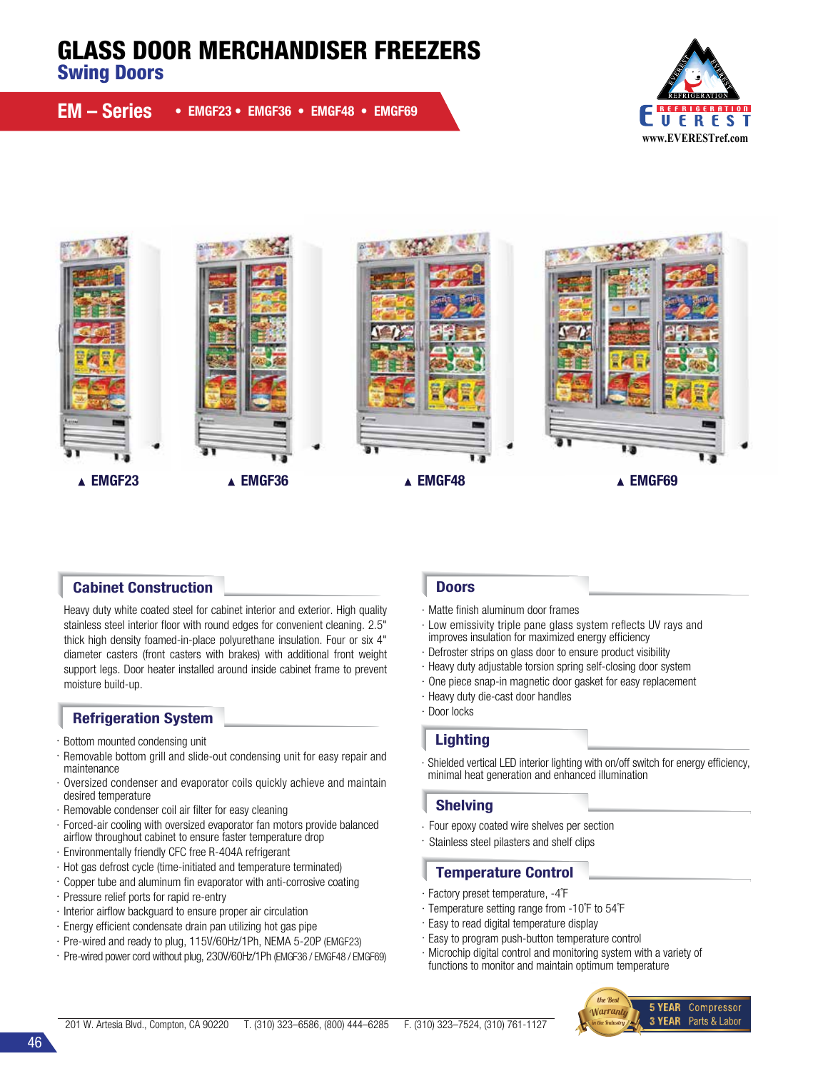# GLASS DOOR MERCHANDISER FREEZERS

Swing Doors

EM – Series • EMGF23 • EMGF36 • EMGF48 • EMGF69





# **Cabinet Construction Doors** Doors

Heavy duty white coated steel for cabinet interior and exterior. High quality stainless steel interior floor with round edges for convenient cleaning. 2.5" thick high density foamed-in-place polyurethane insulation. Four or six 4" diameter casters (front casters with brakes) with additional front weight support legs. Door heater installed around inside cabinet frame to prevent moisture build-up.

# Refrigeration System

- · Bottom mounted condensing unit
- · Removable bottom grill and slide-out condensing unit for easy repair and maintenance
- · Oversized condenser and evaporator coils quickly achieve and maintain desired temperature
- · Removable condenser coil air filter for easy cleaning
- · Forced-air cooling with oversized evaporator fan motors provide balanced airflow throughout cabinet to ensure faster temperature drop
- · Environmentally friendly CFC free R-404A refrigerant
- · Hot gas defrost cycle (time-initiated and temperature terminated)
- · Copper tube and aluminum fin evaporator with anti-corrosive coating
- · Pressure relief ports for rapid re-entry
- · Interior airflow backguard to ensure proper air circulation
- · Energy efficient condensate drain pan utilizing hot gas pipe
- · Pre-wired and ready to plug, 115V/60Hz/1Ph, NEMA 5-20P (EMGF23)
- · Pre-wired power cord without plug, 230V/60Hz/1Ph (EMGF36 / EMGF48 / EMGF69)

- · Matte finish aluminum door frames
- · Low emissivity triple pane glass system reflects UV rays and improves insulation for maximized energy efficiency
- · Defroster strips on glass door to ensure product visibility
- · Heavy duty adjustable torsion spring self-closing door system
- · One piece snap-in magnetic door gasket for easy replacement
- · Heavy duty die-cast door handles
- · Door locks
- **Lighting**
- · Shielded vertical LED interior lighting with on/off switch for energy efficiency, minimal heat generation and enhanced illumination

## Shelving

- · Four epoxy coated wire shelves per section
- · Stainless steel pilasters and shelf clips

## Temperature Control

· Factory preset temperature, -4˚F

- · Temperature setting range from -10˚F to 54˚F
- · Easy to read digital temperature display
- · Easy to program push-button temperature control
- · Microchip digital control and monitoring system with a variety of functions to monitor and maintain optimum temperature